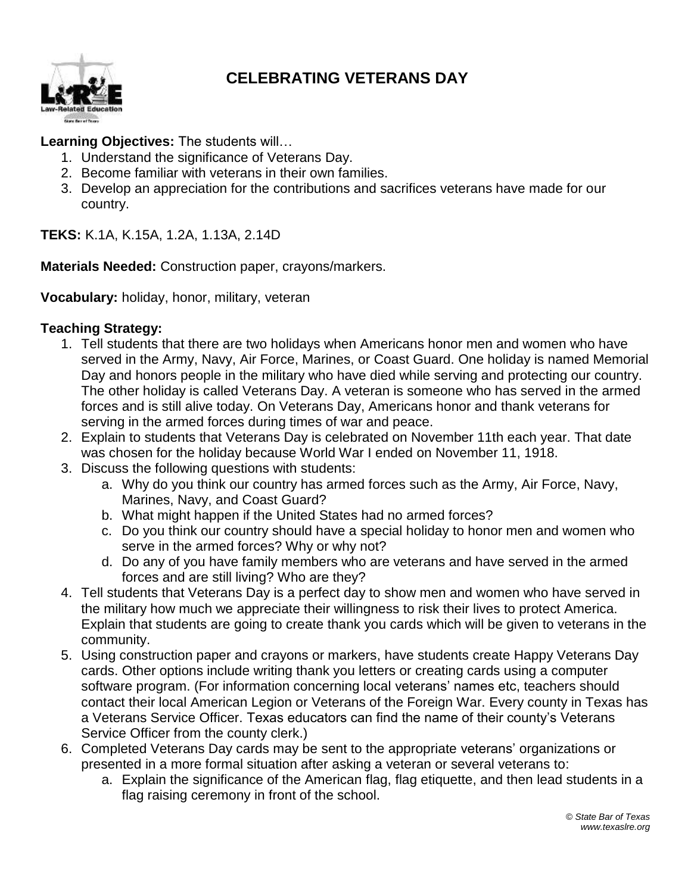

## **CELEBRATING VETERANS DAY**

## **Learning Objectives:** The students will…

- 1. Understand the significance of Veterans Day.
- 2. Become familiar with veterans in their own families.
- 3. Develop an appreciation for the contributions and sacrifices veterans have made for our country.

**TEKS:** K.1A, K.15A, 1.2A, 1.13A, 2.14D

**Materials Needed:** Construction paper, crayons/markers.

**Vocabulary:** holiday, honor, military, veteran

## **Teaching Strategy:**

- 1. Tell students that there are two holidays when Americans honor men and women who have served in the Army, Navy, Air Force, Marines, or Coast Guard. One holiday is named Memorial Day and honors people in the military who have died while serving and protecting our country. The other holiday is called Veterans Day. A veteran is someone who has served in the armed forces and is still alive today. On Veterans Day, Americans honor and thank veterans for serving in the armed forces during times of war and peace.
- 2. Explain to students that Veterans Day is celebrated on November 11th each year. That date was chosen for the holiday because World War I ended on November 11, 1918.
- 3. Discuss the following questions with students:
	- a. Why do you think our country has armed forces such as the Army, Air Force, Navy, Marines, Navy, and Coast Guard?
	- b. What might happen if the United States had no armed forces?
	- c. Do you think our country should have a special holiday to honor men and women who serve in the armed forces? Why or why not?
	- d. Do any of you have family members who are veterans and have served in the armed forces and are still living? Who are they?
- 4. Tell students that Veterans Day is a perfect day to show men and women who have served in the military how much we appreciate their willingness to risk their lives to protect America. Explain that students are going to create thank you cards which will be given to veterans in the community.
- 5. Using construction paper and crayons or markers, have students create Happy Veterans Day cards. Other options include writing thank you letters or creating cards using a computer software program. (For information concerning local veterans' names etc, teachers should contact their local American Legion or Veterans of the Foreign War. Every county in Texas has a Veterans Service Officer. Texas educators can find the name of their county's Veterans Service Officer from the county clerk.)
- 6. Completed Veterans Day cards may be sent to the appropriate veterans' organizations or presented in a more formal situation after asking a veteran or several veterans to:
	- a. Explain the significance of the American flag, flag etiquette, and then lead students in a flag raising ceremony in front of the school.